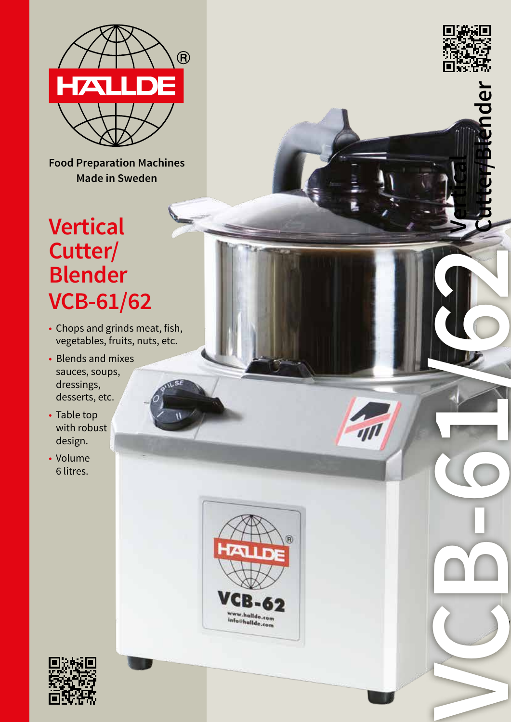

**Food Preparation Machines Made in Sweden**

# **Vertical Cutter/ Blender VCB-61/62**

- Chops and grinds meat, fish, vegetables, fruits, nuts, etc.
- Blends and mixes sauces, soups, dressings, desserts, etc.
- Table top with robust design.
- Volume 6 litres.



**VCB-6122** 

 $\eta$ 

**Vertical** 

**Cutter/Blender**

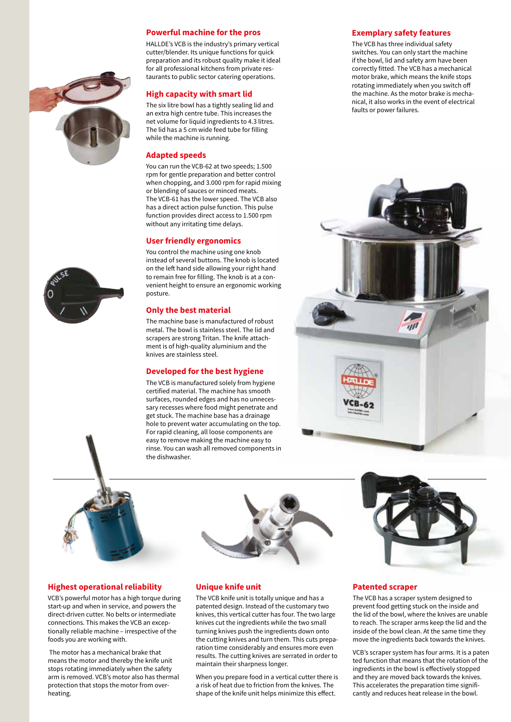#### **Powerful machine for the pros**

HALLDE's VCB is the industry's primary vertical cutter/blender. Its unique functions for quick preparation and its robust quality make it ideal for all professional kitchens from private restaurants to public sector catering operations.

#### **High capacity with smart lid**

The six litre bowl has a tightly sealing lid and an extra high centre tube. This increases the net volume for liquid ingredients to 4.3 litres. The lid has a 5 cm wide feed tube for filling while the machine is running.

#### **Adapted speeds**

You can run the VCB-62 at two speeds; 1.500 rpm for gentle preparation and better control when chopping, and 3.000 rpm for rapid mixing or blending of sauces or minced meats. The VCB-61 has the lower speed. The VCB also has a direct action pulse function. This pulse function provides direct access to 1.500 rpm without any irritating time delays.

#### **User friendly ergonomics**

You control the machine using one knob instead of several buttons. The knob is located on the left hand side allowing your right hand to remain free for filling. The knob is at a convenient height to ensure an ergonomic working posture.

#### **Only the best material**

The machine base is manufactured of robust metal. The bowl is stainless steel. The lid and scrapers are strong Tritan. The knife attachment is of high-quality aluminium and the knives are stainless steel.

#### **Developed for the best hygiene**

The VCB is manufactured solely from hygiene certified material. The machine has smooth surfaces, rounded edges and has no unnecessary recesses where food might penetrate and get stuck. The machine base has a drainage hole to prevent water accumulating on the top. For rapid cleaning, all loose components are easy to remove making the machine easy to rinse. You can wash all removed components in the dishwasher.

#### **Exemplary safety features**

The VCB has three individual safety switches. You can only start the machine if the bowl, lid and safety arm have been correctly fitted. The VCB has a mechanical motor brake, which means the knife stops rotating immediately when you switch off the machine. As the motor brake is mechanical, it also works in the event of electrical faults or power failures.







#### **Highest operational reliability**

VCB's powerful motor has a high torque during start-up and when in service, and powers the direct-driven cutter. No belts or intermediate connections. This makes the VCB an exceptionally reliable machine – irrespective of the foods you are working with.

 The motor has a mechanical brake that means the motor and thereby the knife unit stops rotating immediately when the safety arm is removed. VCB's motor also has thermal protection that stops the motor from overheating.



#### **Unique knife unit**

The VCB knife unit is totally unique and has a patented design. Instead of the customary two knives, this vertical cutter has four. The two large knives cut the ingredients while the two small turning knives push the ingredients down onto the cutting knives and turn them. This cuts preparation time considerably and ensures more even results. The cutting knives are serrated in order to maintain their sharpness longer.

When you prepare food in a vertical cutter there is a risk of heat due to friction from the knives. The shape of the knife unit helps minimize this effect.

#### **Patented scraper**

The VCB has a scraper system designed to prevent food getting stuck on the inside and the lid of the bowl, where the knives are unable to reach. The scraper arms keep the lid and the inside of the bowl clean. At the same time they move the ingredients back towards the knives.

VCB's scraper system has four arms. It is a paten ted function that means that the rotation of the ingredients in the bowl is effectively stopped and they are moved back towards the knives. This accelerates the preparation time significantly and reduces heat release in the bowl.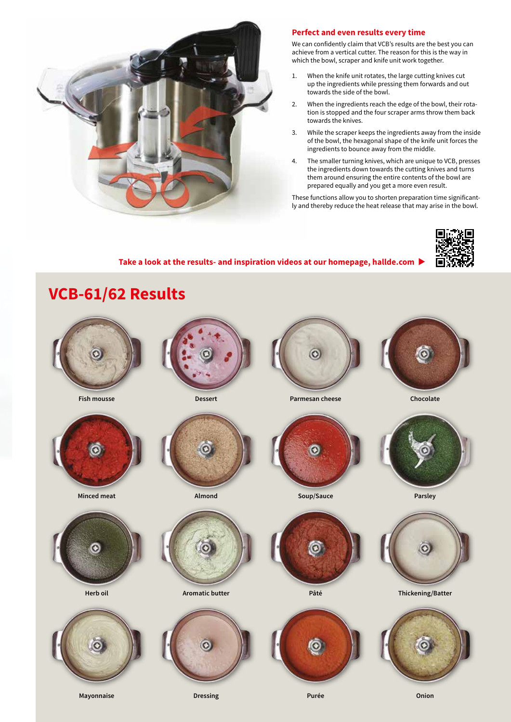

### **Perfect and even results every time**

We can confidently claim that VCB's results are the best you can achieve from a vertical cutter. The reason for this is the way in which the bowl, scraper and knife unit work together.

- 1. When the knife unit rotates, the large cutting knives cut up the ingredients while pressing them forwards and out towards the side of the bowl.
- 2. When the ingredients reach the edge of the bowl, their rotation is stopped and the four scraper arms throw them back towards the knives.
- 3. While the scraper keeps the ingredients away from the inside of the bowl, the hexagonal shape of the knife unit forces the ingredients to bounce away from the middle.
- 4. The smaller turning knives, which are unique to VCB, presses the ingredients down towards the cutting knives and turns them around ensuring the entire contents of the bowl are prepared equally and you get a more even result.

These functions allow you to shorten preparation time significantly and thereby reduce the heat release that may arise in the bowl.



# Take a look at the results- and inspiration videos at our homepage, hallde.com  $\blacktriangleright$







**Minced meat Almond Soup/Sauce Parsley**





**Mayonnaise Dressing Purée Onion**







**Fish mousse Dessert Parmesan cheese Chocolate**















**Herb oil Aromatic butter Pâté Thickening/Batter**